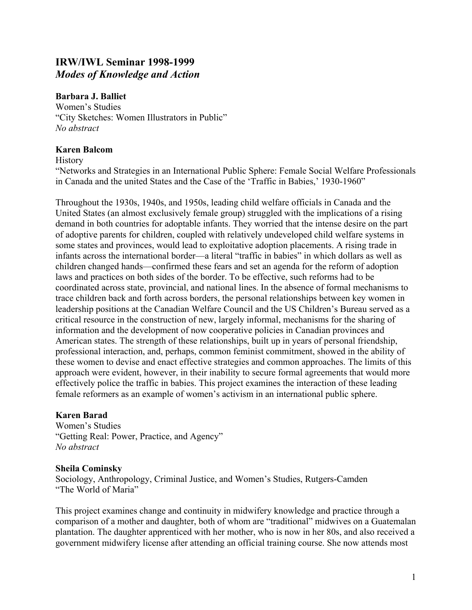# **IRW/IWL Seminar 1998-1999**  *Modes of Knowledge and Action*

#### **Barbara J. Balliet**

Women's Studies "City Sketches: Women Illustrators in Public" *No abstract* 

#### **Karen Balcom**

**History** 

"Networks and Strategies in an International Public Sphere: Female Social Welfare Professionals in Canada and the united States and the Case of the 'Traffic in Babies,' 1930-1960"

Throughout the 1930s, 1940s, and 1950s, leading child welfare officials in Canada and the United States (an almost exclusively female group) struggled with the implications of a rising demand in both countries for adoptable infants. They worried that the intense desire on the part of adoptive parents for children, coupled with relatively undeveloped child welfare systems in some states and provinces, would lead to exploitative adoption placements. A rising trade in infants across the international border—a literal "traffic in babies" in which dollars as well as children changed hands—confirmed these fears and set an agenda for the reform of adoption laws and practices on both sides of the border. To be effective, such reforms had to be coordinated across state, provincial, and national lines. In the absence of formal mechanisms to trace children back and forth across borders, the personal relationships between key women in leadership positions at the Canadian Welfare Council and the US Children's Bureau served as a critical resource in the construction of new, largely informal, mechanisms for the sharing of information and the development of now cooperative policies in Canadian provinces and American states. The strength of these relationships, built up in years of personal friendship, professional interaction, and, perhaps, common feminist commitment, showed in the ability of these women to devise and enact effective strategies and common approaches. The limits of this approach were evident, however, in their inability to secure formal agreements that would more effectively police the traffic in babies. This project examines the interaction of these leading female reformers as an example of women's activism in an international public sphere.

## **Karen Barad**

Women's Studies "Getting Real: Power, Practice, and Agency" *No abstract* 

#### **Sheila Cominsky**

Sociology, Anthropology, Criminal Justice, and Women's Studies, Rutgers-Camden "The World of Maria"

This project examines change and continuity in midwifery knowledge and practice through a comparison of a mother and daughter, both of whom are "traditional" midwives on a Guatemalan plantation. The daughter apprenticed with her mother, who is now in her 80s, and also received a government midwifery license after attending an official training course. She now attends most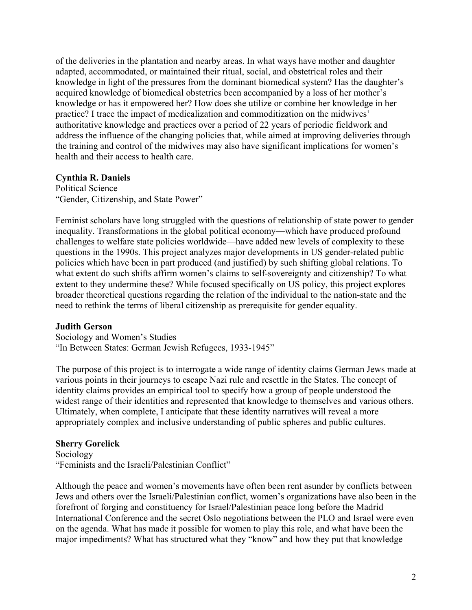of the deliveries in the plantation and nearby areas. In what ways have mother and daughter adapted, accommodated, or maintained their ritual, social, and obstetrical roles and their knowledge in light of the pressures from the dominant biomedical system? Has the daughter's acquired knowledge of biomedical obstetrics been accompanied by a loss of her mother's knowledge or has it empowered her? How does she utilize or combine her knowledge in her practice? I trace the impact of medicalization and commoditization on the midwives' authoritative knowledge and practices over a period of 22 years of periodic fieldwork and address the influence of the changing policies that, while aimed at improving deliveries through the training and control of the midwives may also have significant implications for women's health and their access to health care.

#### **Cynthia R. Daniels**

Political Science "Gender, Citizenship, and State Power"

Feminist scholars have long struggled with the questions of relationship of state power to gender inequality. Transformations in the global political economy—which have produced profound challenges to welfare state policies worldwide—have added new levels of complexity to these questions in the 1990s. This project analyzes major developments in US gender-related public policies which have been in part produced (and justified) by such shifting global relations. To what extent do such shifts affirm women's claims to self-sovereignty and citizenship? To what extent to they undermine these? While focused specifically on US policy, this project explores broader theoretical questions regarding the relation of the individual to the nation-state and the need to rethink the terms of liberal citizenship as prerequisite for gender equality.

## **Judith Gerson**

Sociology and Women's Studies "In Between States: German Jewish Refugees, 1933-1945"

The purpose of this project is to interrogate a wide range of identity claims German Jews made at various points in their journeys to escape Nazi rule and resettle in the States. The concept of identity claims provides an empirical tool to specify how a group of people understood the widest range of their identities and represented that knowledge to themselves and various others. Ultimately, when complete, I anticipate that these identity narratives will reveal a more appropriately complex and inclusive understanding of public spheres and public cultures.

## **Sherry Gorelick**

Sociology "Feminists and the Israeli/Palestinian Conflict"

Although the peace and women's movements have often been rent asunder by conflicts between Jews and others over the Israeli/Palestinian conflict, women's organizations have also been in the forefront of forging and constituency for Israel/Palestinian peace long before the Madrid International Conference and the secret Oslo negotiations between the PLO and Israel were even on the agenda. What has made it possible for women to play this role, and what have been the major impediments? What has structured what they "know" and how they put that knowledge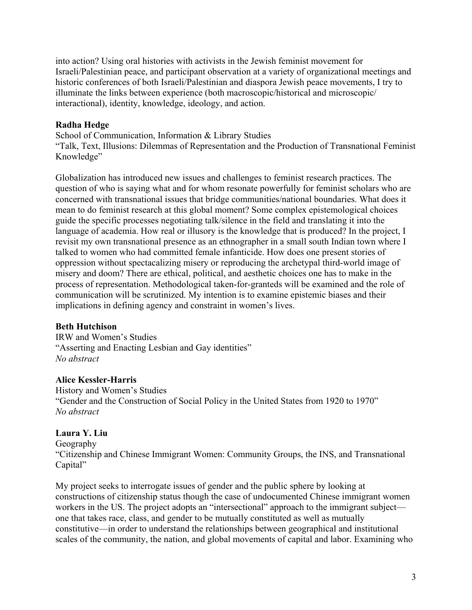into action? Using oral histories with activists in the Jewish feminist movement for Israeli/Palestinian peace, and participant observation at a variety of organizational meetings and historic conferences of both Israeli/Palestinian and diaspora Jewish peace movements, I try to illuminate the links between experience (both macroscopic/historical and microscopic/ interactional), identity, knowledge, ideology, and action.

#### **Radha Hedge**

School of Communication, Information & Library Studies "Talk, Text, Illusions: Dilemmas of Representation and the Production of Transnational Feminist Knowledge"

Globalization has introduced new issues and challenges to feminist research practices. The question of who is saying what and for whom resonate powerfully for feminist scholars who are concerned with transnational issues that bridge communities/national boundaries. What does it mean to do feminist research at this global moment? Some complex epistemological choices guide the specific processes negotiating talk/silence in the field and translating it into the language of academia. How real or illusory is the knowledge that is produced? In the project, I revisit my own transnational presence as an ethnographer in a small south Indian town where I talked to women who had committed female infanticide. How does one present stories of oppression without spectacalizing misery or reproducing the archetypal third-world image of misery and doom? There are ethical, political, and aesthetic choices one has to make in the process of representation. Methodological taken-for-granteds will be examined and the role of communication will be scrutinized. My intention is to examine epistemic biases and their implications in defining agency and constraint in women's lives.

## **Beth Hutchison**

IRW and Women's Studies "Asserting and Enacting Lesbian and Gay identities" *No abstract* 

## **Alice Kessler-Harris**

History and Women's Studies "Gender and the Construction of Social Policy in the United States from 1920 to 1970" *No abstract* 

## **Laura Y. Liu**

Geography

"Citizenship and Chinese Immigrant Women: Community Groups, the INS, and Transnational Capital"

My project seeks to interrogate issues of gender and the public sphere by looking at constructions of citizenship status though the case of undocumented Chinese immigrant women workers in the US. The project adopts an "intersectional" approach to the immigrant subject one that takes race, class, and gender to be mutually constituted as well as mutually constitutive—in order to understand the relationships between geographical and institutional scales of the community, the nation, and global movements of capital and labor. Examining who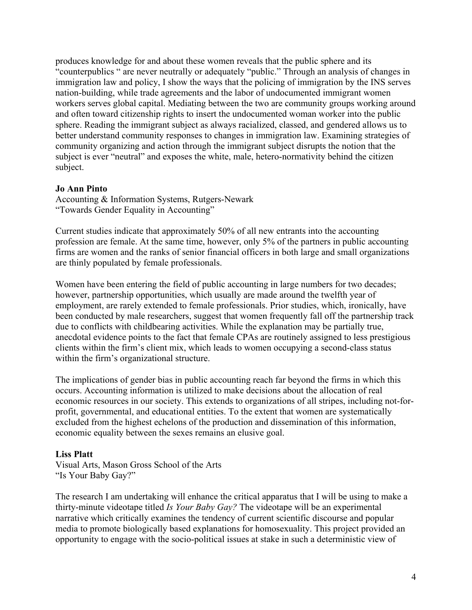produces knowledge for and about these women reveals that the public sphere and its "counterpublics " are never neutrally or adequately "public." Through an analysis of changes in immigration law and policy, I show the ways that the policing of immigration by the INS serves nation-building, while trade agreements and the labor of undocumented immigrant women workers serves global capital. Mediating between the two are community groups working around and often toward citizenship rights to insert the undocumented woman worker into the public sphere. Reading the immigrant subject as always racialized, classed, and gendered allows us to better understand community responses to changes in immigration law. Examining strategies of community organizing and action through the immigrant subject disrupts the notion that the subject is ever "neutral" and exposes the white, male, hetero-normativity behind the citizen subject.

#### **Jo Ann Pinto**

Accounting & Information Systems, Rutgers-Newark "Towards Gender Equality in Accounting"

Current studies indicate that approximately 50% of all new entrants into the accounting profession are female. At the same time, however, only 5% of the partners in public accounting firms are women and the ranks of senior financial officers in both large and small organizations are thinly populated by female professionals.

Women have been entering the field of public accounting in large numbers for two decades; however, partnership opportunities, which usually are made around the twelfth year of employment, are rarely extended to female professionals. Prior studies, which, ironically, have been conducted by male researchers, suggest that women frequently fall off the partnership track due to conflicts with childbearing activities. While the explanation may be partially true, anecdotal evidence points to the fact that female CPAs are routinely assigned to less prestigious clients within the firm's client mix, which leads to women occupying a second-class status within the firm's organizational structure.

The implications of gender bias in public accounting reach far beyond the firms in which this occurs. Accounting information is utilized to make decisions about the allocation of real economic resources in our society. This extends to organizations of all stripes, including not-forprofit, governmental, and educational entities. To the extent that women are systematically excluded from the highest echelons of the production and dissemination of this information, economic equality between the sexes remains an elusive goal.

#### **Liss Platt**

Visual Arts, Mason Gross School of the Arts "Is Your Baby Gay?"

The research I am undertaking will enhance the critical apparatus that I will be using to make a thirty-minute videotape titled *Is Your Baby Gay?* The videotape will be an experimental narrative which critically examines the tendency of current scientific discourse and popular media to promote biologically based explanations for homosexuality. This project provided an opportunity to engage with the socio-political issues at stake in such a deterministic view of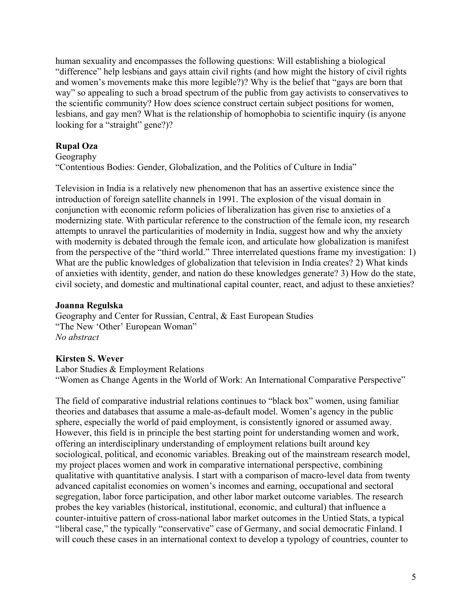human sexuality and encompasses the following questions: Will establishing a biological "difference" help lesbians and gays attain civil rights (and how might the history of civil rights and women's movements make this more legible?)? Why is the belief that "gays are born that way" so appealing to such a broad spectrum of the public from gay activists to conservatives to the scientific community? How does science construct certain subject positions for women, lesbians, and gay men? What is the relationship of homophobia to scientific inquiry (is anyone looking for a "straight" gene?)?

# **Rupal Oza**

Geography

"Contentious Bodies: Gender, Globalization, and the Politics of Culture in India"

Television in India is a relatively new phenomenon that has an assertive existence since the introduction of foreign satellite channels in 1991. The explosion of the visual domain in conjunction with economic reform policies of liberalization has given rise to anxieties of a modernizing state. With particular reference to the construction of the female icon, my research attempts to unravel the particularities of modernity in India, suggest how and why the anxiety with modernity is debated through the female icon, and articulate how globalization is manifest from the perspective of the "third world." Three interrelated questions frame my investigation: 1) What are the public knowledges of globalization that television in India creates? 2) What kinds of anxieties with identity, gender, and nation do these knowledges generate? 3) How do the state, civil society, and domestic and multinational capital counter, react, and adjust to these anxieties?

#### **Joanna Regulska**

Geography and Center for Russian, Central, & East European Studies "The New 'Other' European Woman" *No abstract* 

## **Kirsten S. Wever**

Labor Studies & Employment Relations "Women as Change Agents in the World of Work: An International Comparative Perspective"

The field of comparative industrial relations continues to "black box" women, using familiar theories and databases that assume a male-as-default model. Women's agency in the public sphere, especially the world of paid employment, is consistently ignored or assumed away. However, this field is in principle the best starting point for understanding women and work, offering an interdisciplinary understanding of employment relations built around key sociological, political, and economic variables. Breaking out of the mainstream research model, my project places women and work in comparative international perspective, combining qualitative with quantitative analysis. I start with a comparison of macro-level data from twenty advanced capitalist economies on women's incomes and earning, occupational and sectoral segregation, labor force participation, and other labor market outcome variables. The research probes the key variables (historical, institutional, economic, and cultural) that influence a counter-intuitive pattern of cross-national labor market outcomes in the Untied Stats, a typical "liberal case," the typically "conservative" case of Germany, and social democratic Finland. I will couch these cases in an international context to develop a typology of countries, counter to